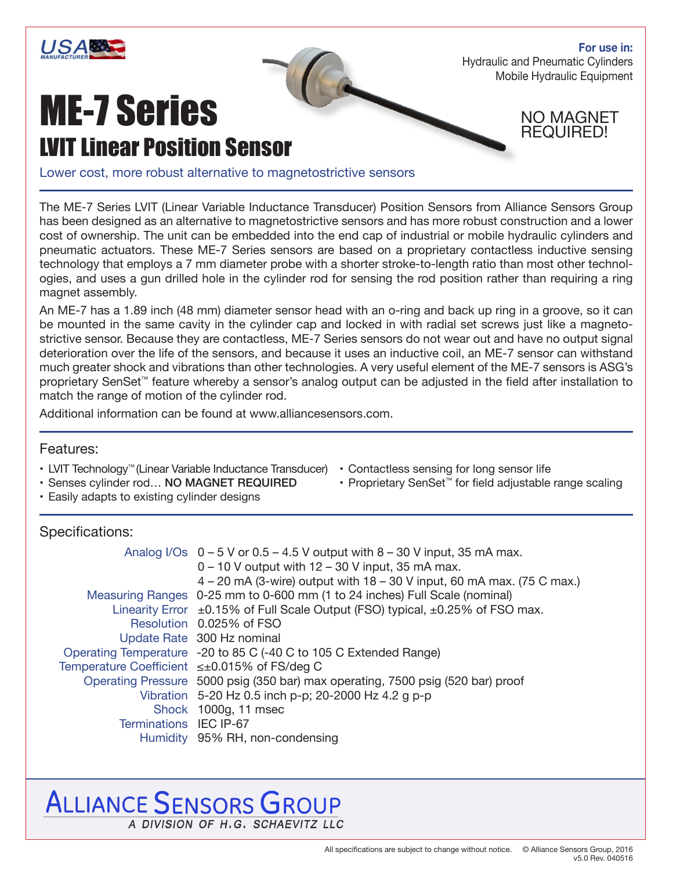

**For use in:** Hydraulic and Pneumatic Cylinders Mobile Hydraulic Equipment

# ME-7 Series LVIT Linear Position Sensor

NO MAGNET REQUIRED!

Lower cost, more robust alternative to magnetostrictive sensors

The ME-7 Series LVIT (Linear Variable Inductance Transducer) Position Sensors from Alliance Sensors Group has been designed as an alternative to magnetostrictive sensors and has more robust construction and a lower cost of ownership. The unit can be embedded into the end cap of industrial or mobile hydraulic cylinders and pneumatic actuators. These ME-7 Series sensors are based on a proprietary contactless inductive sensing technology that employs a 7 mm diameter probe with a shorter stroke-to-length ratio than most other technologies, and uses a gun drilled hole in the cylinder rod for sensing the rod position rather than requiring a ring magnet assembly.

An ME-7 has a 1.89 inch (48 mm) diameter sensor head with an o-ring and back up ring in a groove, so it can be mounted in the same cavity in the cylinder cap and locked in with radial set screws just like a magnetostrictive sensor. Because they are contactless, ME-7 Series sensors do not wear out and have no output signal deterioration over the life of the sensors, and because it uses an inductive coil, an ME-7 sensor can withstand much greater shock and vibrations than other technologies. A very useful element of the ME-7 sensors is ASG's proprietary SenSet™ feature whereby a sensor's analog output can be adjusted in the field after installation to match the range of motion of the cylinder rod.

Additional information can be found at www.alliancesensors.com.

### Features:

- LVIT Technology™ (Linear Variable Inductance Transducer)
- Senses cylinder rod… NO MAGNET REQUIRED
- Easily adapts to existing cylinder designs
- Specifications:

|                                              | Analog I/Os $0 - 5$ V or $0.5 - 4.5$ V output with $8 - 30$ V input, 35 mA max.<br>$0 - 10$ V output with $12 - 30$ V input, 35 mA max.<br>4 – 20 mA (3-wire) output with 18 – 30 V input, 60 mA max. (75 C max.) |  |  |  |  |  |  |
|----------------------------------------------|-------------------------------------------------------------------------------------------------------------------------------------------------------------------------------------------------------------------|--|--|--|--|--|--|
|                                              | Measuring Ranges 0-25 mm to 0-600 mm (1 to 24 inches) Full Scale (nominal)                                                                                                                                        |  |  |  |  |  |  |
|                                              | Linearity Error $\pm$ 0.15% of Full Scale Output (FSO) typical, $\pm$ 0.25% of FSO max.                                                                                                                           |  |  |  |  |  |  |
|                                              | Resolution 0.025% of FSO                                                                                                                                                                                          |  |  |  |  |  |  |
|                                              | Update Rate 300 Hz nominal                                                                                                                                                                                        |  |  |  |  |  |  |
|                                              | Operating Temperature -20 to 85 C (-40 C to 105 C Extended Range)                                                                                                                                                 |  |  |  |  |  |  |
| Temperature Coefficient ≤±0.015% of FS/deg C |                                                                                                                                                                                                                   |  |  |  |  |  |  |
|                                              | Operating Pressure 5000 psig (350 bar) max operating, 7500 psig (520 bar) proof                                                                                                                                   |  |  |  |  |  |  |
|                                              | Vibration 5-20 Hz 0.5 inch p-p; 20-2000 Hz 4.2 g p-p                                                                                                                                                              |  |  |  |  |  |  |
|                                              | Shock 1000g, 11 msec                                                                                                                                                                                              |  |  |  |  |  |  |
| Terminations IEC IP-67                       |                                                                                                                                                                                                                   |  |  |  |  |  |  |
|                                              | Humidity 95% RH, non-condensing                                                                                                                                                                                   |  |  |  |  |  |  |

## **ALLIANCE SENSORS GROUP** A DIVISION OF H.G. SCHAEVITZ LLC

• Contactless sensing for long sensor life

• Proprietary SenSet™ for field adjustable range scaling